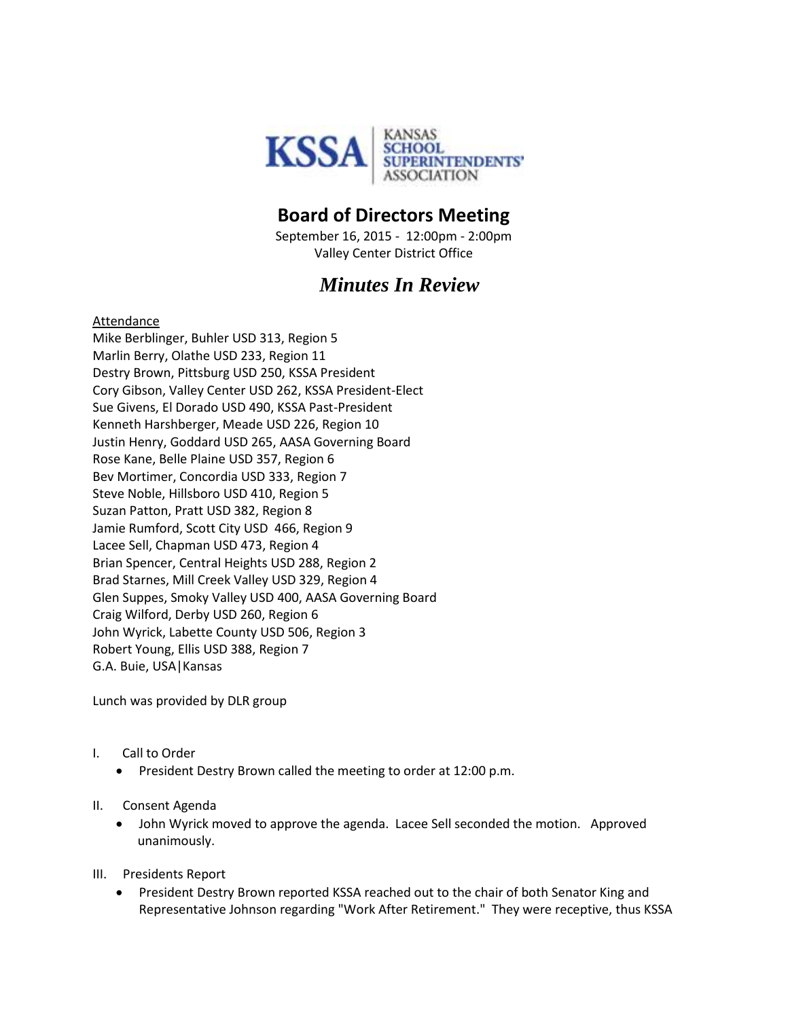

## **Board of Directors Meeting**

September 16, 2015 - 12:00pm - 2:00pm Valley Center District Office

## *Minutes In Review*

## Attendance

Mike Berblinger, Buhler USD 313, Region 5 Marlin Berry, Olathe USD 233, Region 11 Destry Brown, Pittsburg USD 250, KSSA President Cory Gibson, Valley Center USD 262, KSSA President-Elect Sue Givens, El Dorado USD 490, KSSA Past-President Kenneth Harshberger, Meade USD 226, Region 10 Justin Henry, Goddard USD 265, AASA Governing Board Rose Kane, Belle Plaine USD 357, Region 6 Bev Mortimer, Concordia USD 333, Region 7 Steve Noble, Hillsboro USD 410, Region 5 Suzan Patton, Pratt USD 382, Region 8 Jamie Rumford, Scott City USD 466, Region 9 Lacee Sell, Chapman USD 473, Region 4 Brian Spencer, Central Heights USD 288, Region 2 Brad Starnes, Mill Creek Valley USD 329, Region 4 Glen Suppes, Smoky Valley USD 400, AASA Governing Board Craig Wilford, Derby USD 260, Region 6 John Wyrick, Labette County USD 506, Region 3 Robert Young, Ellis USD 388, Region 7 G.A. Buie, USA|Kansas

Lunch was provided by DLR group

- I. Call to Order
	- **•** President Destry Brown called the meeting to order at 12:00 p.m.
- II. Consent Agenda
	- John Wyrick moved to approve the agenda. Lacee Sell seconded the motion. Approved unanimously.
- III. Presidents Report
	- President Destry Brown reported KSSA reached out to the chair of both Senator King and Representative Johnson regarding "Work After Retirement." They were receptive, thus KSSA